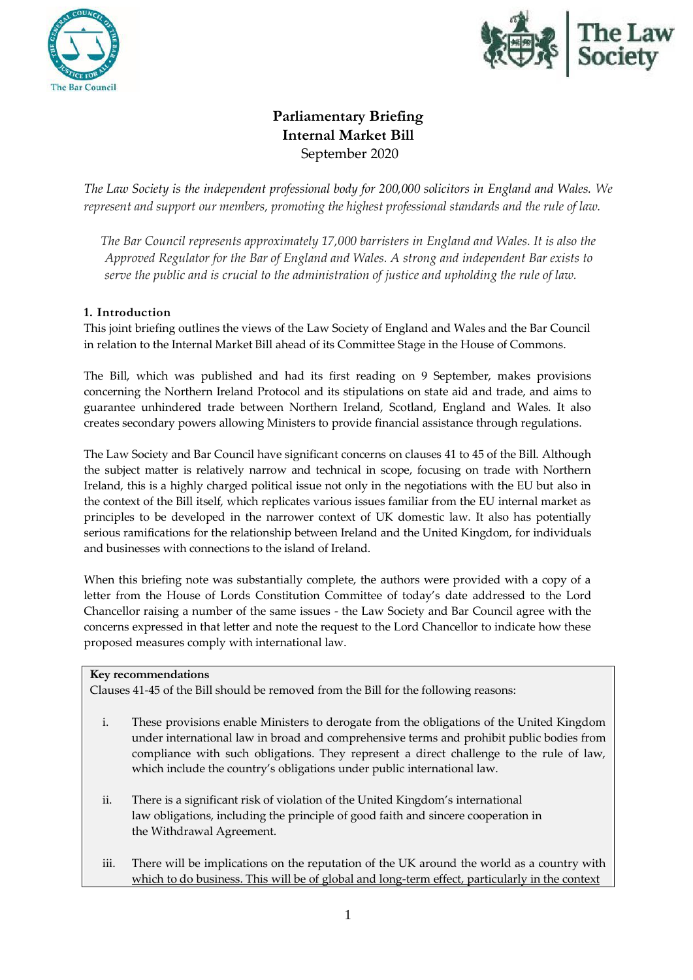



# **Parliamentary Briefing Internal Market Bill**  September 2020

*The Law Society is the independent professional body for 200,000 solicitors in England and Wales. We represent and support our members, promoting the highest professional standards and the rule of law.*

*The Bar Council represents approximately 17,000 barristers in England and Wales. It is also the Approved Regulator for the Bar of England and Wales. A strong and independent Bar exists to serve the public and is crucial to the administration of justice and upholding the rule of law.*

# **1. Introduction**

This joint briefing outlines the views of the Law Society of England and Wales and the Bar Council in relation to the Internal Market Bill ahead of its Committee Stage in the House of Commons.

The Bill, which was published and had its first reading on 9 September, makes provisions concerning the Northern Ireland Protocol and its stipulations on state aid and trade, and aims to guarantee unhindered trade between Northern Ireland, Scotland, England and Wales. It also creates secondary powers allowing Ministers to provide financial assistance through regulations.

The Law Society and Bar Council have significant concerns on clauses 41 to 45 of the Bill. Although the subject matter is relatively narrow and technical in scope, focusing on trade with Northern Ireland, this is a highly charged political issue not only in the negotiations with the EU but also in the context of the Bill itself, which replicates various issues familiar from the EU internal market as principles to be developed in the narrower context of UK domestic law. It also has potentially serious ramifications for the relationship between Ireland and the United Kingdom, for individuals and businesses with connections to the island of Ireland.

When this briefing note was substantially complete, the authors were provided with a copy of a letter from the House of Lords Constitution Committee of today's date addressed to the Lord Chancellor raising a number of the same issues - the Law Society and Bar Council agree with the concerns expressed in that letter and note the request to the Lord Chancellor to indicate how these proposed measures comply with international law.

# **Key recommendations**

Clauses 41-45 of the Bill should be removed from the Bill for the following reasons:

- i. These provisions enable Ministers to derogate from the obligations of the United Kingdom under international law in broad and comprehensive terms and prohibit public bodies from compliance with such obligations. They represent a direct challenge to the rule of law, which include the country's obligations under public international law.
- ii. There is a significant risk of violation of the United Kingdom's international law obligations, including the principle of good faith and sincere cooperation in the Withdrawal Agreement.
- iii. There will be implications on the reputation of the UK around the world as a country with which to do business. This will be of global and long-term effect, particularly in the context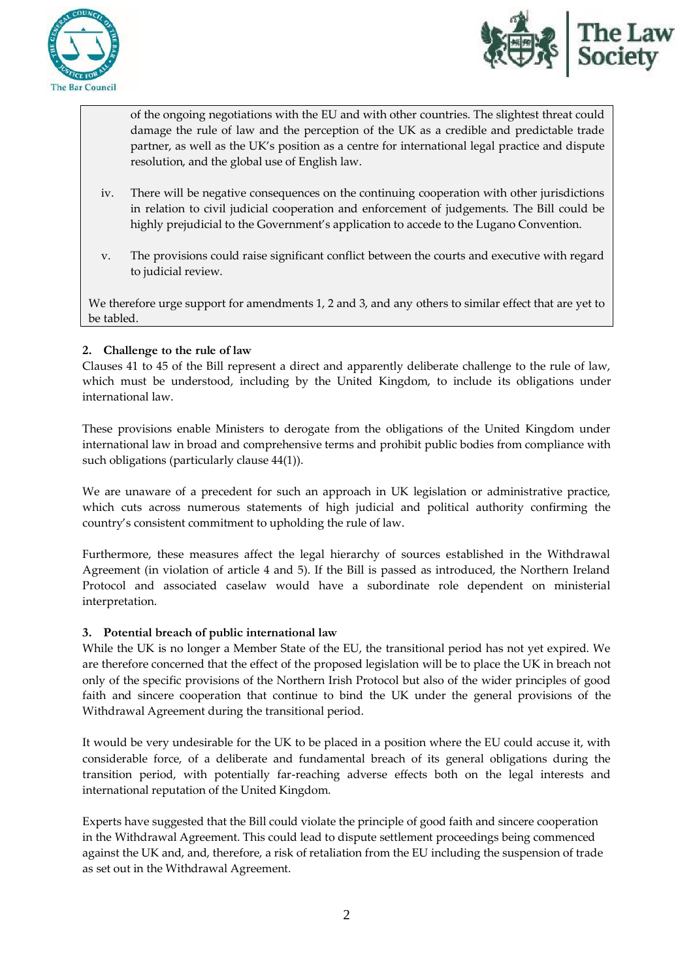



of the ongoing negotiations with the EU and with other countries. The slightest threat could damage the rule of law and the perception of the UK as a credible and predictable trade partner, as well as the UK's position as a centre for international legal practice and dispute resolution, and the global use of English law.

- iv. There will be negative consequences on the continuing cooperation with other jurisdictions in relation to civil judicial cooperation and enforcement of judgements. The Bill could be highly prejudicial to the Government's application to accede to the Lugano Convention.
- v. The provisions could raise significant conflict between the courts and executive with regard to judicial review.

We therefore urge support for amendments 1, 2 and 3, and any others to similar effect that are yet to be tabled.

# **2. Challenge to the rule of law**

Clauses 41 to 45 of the Bill represent a direct and apparently deliberate challenge to the rule of law, which must be understood, including by the United Kingdom, to include its obligations under international law.

These provisions enable Ministers to derogate from the obligations of the United Kingdom under international law in broad and comprehensive terms and prohibit public bodies from compliance with such obligations (particularly clause 44(1)).

We are unaware of a precedent for such an approach in UK legislation or administrative practice, which cuts across numerous statements of high judicial and political authority confirming the country's consistent commitment to upholding the rule of law.

Furthermore, these measures affect the legal hierarchy of sources established in the Withdrawal Agreement (in violation of article 4 and 5). If the Bill is passed as introduced, the Northern Ireland Protocol and associated caselaw would have a subordinate role dependent on ministerial interpretation.

#### **3. Potential breach of public international law**

While the UK is no longer a Member State of the EU, the transitional period has not yet expired. We are therefore concerned that the effect of the proposed legislation will be to place the UK in breach not only of the specific provisions of the Northern Irish Protocol but also of the wider principles of good faith and sincere cooperation that continue to bind the UK under the general provisions of the Withdrawal Agreement during the transitional period.

It would be very undesirable for the UK to be placed in a position where the EU could accuse it, with considerable force, of a deliberate and fundamental breach of its general obligations during the transition period, with potentially far-reaching adverse effects both on the legal interests and international reputation of the United Kingdom.

Experts have suggested that the Bill could violate the principle of good faith and sincere cooperation in the Withdrawal Agreement. This could lead to dispute settlement proceedings being commenced against the UK and, and, therefore, a risk of retaliation from the EU including the suspension of trade as set out in the Withdrawal Agreement.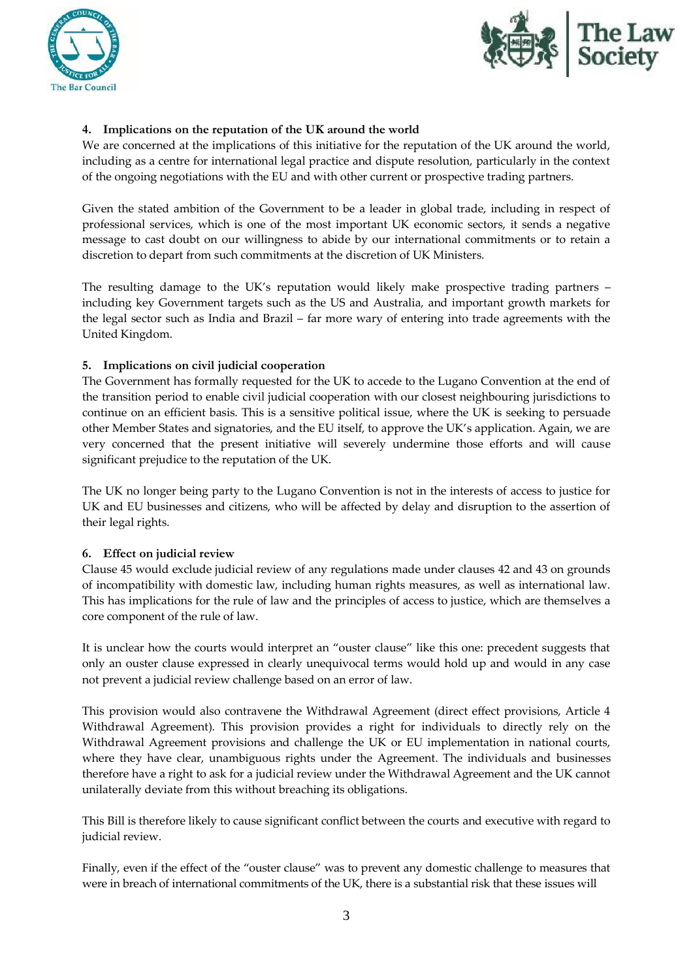



# **4. Implications on the reputation of the UK around the world**

We are concerned at the implications of this initiative for the reputation of the UK around the world, including as a centre for international legal practice and dispute resolution, particularly in the context of the ongoing negotiations with the EU and with other current or prospective trading partners.

Given the stated ambition of the Government to be a leader in global trade, including in respect of professional services, which is one of the most important UK economic sectors, it sends a negative message to cast doubt on our willingness to abide by our international commitments or to retain a discretion to depart from such commitments at the discretion of UK Ministers.

The resulting damage to the UK's reputation would likely make prospective trading partners – including key Government targets such as the US and Australia, and important growth markets for the legal sector such as India and Brazil – far more wary of entering into trade agreements with the United Kingdom.

#### **5. Implications on civil judicial cooperation**

The Government has formally requested for the UK to accede to the Lugano Convention at the end of the transition period to enable civil judicial cooperation with our closest neighbouring jurisdictions to continue on an efficient basis. This is a sensitive political issue, where the UK is seeking to persuade other Member States and signatories, and the EU itself, to approve the UK's application. Again, we are very concerned that the present initiative will severely undermine those efforts and will cause significant prejudice to the reputation of the UK.

The UK no longer being party to the Lugano Convention is not in the interests of access to justice for UK and EU businesses and citizens, who will be affected by delay and disruption to the assertion of their legal rights.

#### **6. Effect on judicial review**

Clause 45 would exclude judicial review of any regulations made under clauses 42 and 43 on grounds of incompatibility with domestic law, including human rights measures, as well as international law. This has implications for the rule of law and the principles of access to justice, which are themselves a core component of the rule of law.

It is unclear how the courts would interpret an "ouster clause" like this one: precedent suggests that only an ouster clause expressed in clearly unequivocal terms would hold up and would in any case not prevent a judicial review challenge based on an error of law.

This provision would also contravene the Withdrawal Agreement (direct effect provisions, Article 4 Withdrawal Agreement). This provision provides a right for individuals to directly rely on the Withdrawal Agreement provisions and challenge the UK or EU implementation in national courts, where they have clear, unambiguous rights under the Agreement. The individuals and businesses therefore have a right to ask for a judicial review under the Withdrawal Agreement and the UK cannot unilaterally deviate from this without breaching its obligations.

This Bill is therefore likely to cause significant conflict between the courts and executive with regard to judicial review.

Finally, even if the effect of the "ouster clause" was to prevent any domestic challenge to measures that were in breach of international commitments of the UK, there is a substantial risk that these issues will